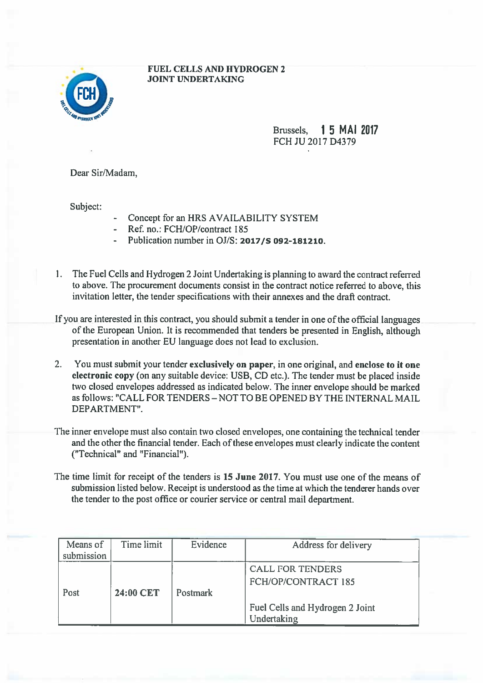## FUEL CELLS AND HYDROGEN 2 JOINT UNDERTAKING



Brussels. 15 MAI 2017 FCH JU 2017 D4379

Dear Sir/Madam,

Subject:

- Concept for an HRS AVAILABILITY SYSTEM
- Ref. no.: FCH/OP/contract 185
- Publication number in OJ/S: 2017/S 092-181210.
- 1. The Fuel Cells and Hydrogen 2 Joint Undertaking is planning to award the contract referred to above. The procuremen<sup>t</sup> documents consist in the contract notice referred to above, this invitation letter, the tender specifications with their annexes and the draft contract.
- If you are interested in this contract, you should submit <sup>a</sup> tender in one of the official languages of the European Union. It is recommended that tenders be presented in English, although presentation in another EU language does not lead to exclusion.
- 2. You must submit your tender exclusively on paper, in one original, and enclose to it one electronic copy (on any suitable device: USB, CD etc.). The tender must be <sup>p</sup>laced inside two closed envelopes addressed as indicated below. The inner envelope should be marked as follows: "CALL FOR TENDERS —NOT TO BE OPENED BY THE INTERNAL MAIL DEPARTMENT".
- The inner envelope must also contain two closed envelopes, one containing the technical tender and the other the financial tender. Each of these envelopes must clearly indicate the content ("Technical" and "Financial").
- The time limit for receipt of the tenders is 15 June 2017. You must use one of the means of submission listed below. Receipt is understood as the time at which the tenderer hands over the tender to the post office or courier service or central mail department.

| Means of   | Time limit | Evidence        | Address for delivery                                  |
|------------|------------|-----------------|-------------------------------------------------------|
| submission |            |                 |                                                       |
| Post       | 24:00 CET  | <b>Postmark</b> | <b>CALL FOR TENDERS</b><br><b>FCH/OP/CONTRACT 185</b> |
|            |            |                 | Fuel Cells and Hydrogen 2 Joint<br>Undertaking        |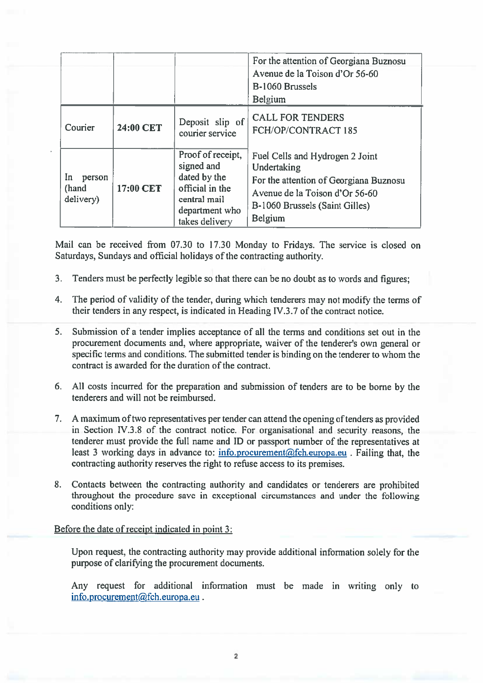|                                    |           |                                                                                                                        | For the attention of Georgiana Buznosu<br>Avenue de la Toison d'Or 56-60<br>B-1060 Brussels<br>Belgium                                                                  |
|------------------------------------|-----------|------------------------------------------------------------------------------------------------------------------------|-------------------------------------------------------------------------------------------------------------------------------------------------------------------------|
| Courier                            | 24:00 CET | Deposit slip of<br>courier service                                                                                     | <b>CALL FOR TENDERS</b><br>FCH/OP/CONTRACT 185                                                                                                                          |
| In<br>person<br>(hand<br>delivery) | 17:00 CET | Proof of receipt,<br>signed and<br>dated by the<br>official in the<br>central mail<br>department who<br>takes delivery | Fuel Cells and Hydrogen 2 Joint<br>Undertaking<br>For the attention of Georgiana Buznosu<br>Avenue de la Toison d'Or 56-60<br>B-1060 Brussels (Saint Gilles)<br>Belgium |

Mail can be received from 07.30 to 17.30 Monday to Fridays. The service is closed on Saturdays, Sundays and official holidays of the contracting authority.

- 3. Tenders must be perfectly legible so that there can be no doubt as to words and figures;
- 4. The period of validity of the tender, during which tenderers may not modify the terms of their tenders in any respect, is indicated in Heading IV.3.7 of the contract notice.
- 5. Submission of <sup>a</sup> tender implies acceptance of all the terms and conditions set out in the procuremen<sup>t</sup> documents and, where appropriate, waiver of the tenderer's own general or specific terms and conditions. The submitted tender is binding on the tenderer to whom the contract is awarded for the duration of the contract.
- 6. All costs incurred for the preparation and submission of tenders are to be borne by the tenderers and will not be reimbursed.
- 7. A maximum of two representatives per tender can attend the opening of tenders as provided in Section IV.3.8 of the contract notice. For organisational and security reasons, the tenderer must provide the full name and ID or passport number of the representatives at least 3 working days in advance to:  $\frac{info.procurement(@fch.europa.eu)$ . Failing that, the contracting authority reserves the right to refuse access to its premises.
- 8. Contacts between the contracting authority and candidates or tenderers are prohibited throughout the procedure save in exceptional circumstances and under the following conditions only:

## Before the date of receipt indicated in point 3:

Upon request, the contracting authority may provide additional information solely for the purpose of clarifying the procuremen<sup>t</sup> documents.

Any reques<sup>t</sup> for additional information must be made in writing only to info.procurement@fch.europa.eu.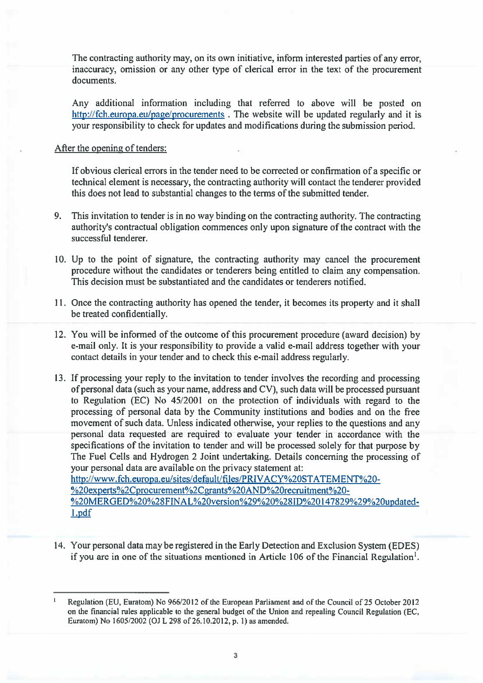The contracting authority may, on its own initiative, inform interested parties of any error, inaccuracy, omission or any other type of clerical error in the text of the procuremen<sup>t</sup> documents.

Any additional information including that referred to above will be posted on http://fch.europa.eu/page/procurements. The website will be updated regularly and it is your responsibility to check for updates and modifications during the submission period.

## After the opening of tenders:

If obvious clerical errors in the tender need to be corrected or confirmation of <sup>a</sup> specific or technical element is necessary, the contracting authority will contact the tenderer provided this does not lead to substantial changes to the terms of the submitted tender.

- 9. This invitation to tender is in no way binding on the contracting authority. The contracting authority's contractual obligation commences only upon signature of the contract with the successful tenderer.
- 10. Up to the point of signature, the contracting authority may cancel the procuremen<sup>t</sup> procedure without the candidates or tenderers being entitled to claim any compensation. This decision must be substantiated and the candidates or tenderers notified.
- 11. Once the contracting authority has opened the tender, it becomes its property and it shall be treated confidentially.
- 12. You will be informed of the outcome of this procuremen<sup>t</sup> procedure (award decision) by e-mail only. It is your responsibility to provide <sup>a</sup> valid e-mail address together with your contact details in your tender and to check this e-mail address regularly.
- 13. If processing your reply to the invitation to tender involves the recording and processing of personal data (such as your name, address and CV), such data will be processed pursuan<sup>t</sup> to Regulation (EC) No 45/2001 on the protection of individuals with regard to the processing of personal data by the Community institutions and bodies and on the free movement of such data. Unless indicated otherwise, your replies to the questions and any personal data requested are required to evaluate your tender in accordance with the specifications of the invitation to tender and will be processed solely for that purpose by The Fuel Cells and Hydrogen 2 Joint undertaking. Details concerning the processing of your personal data are available on the privacy statement at: http://www.fch.europa.eu/sites/default/files/PRIVACY%2OSTATEMENT%20- %20experts%2Cprocurement%2Cgrants%2OAND%2Orecruitment%20-

%20MERGED%20%28FINAL%20version%29%20%28ID%20147829%29%20updatedl.pdf

14. Your personal data may be registered in the Early Detection and Exclusion System (EDES) if you are in one of the situations mentioned in Article 106 of the Financial Regulation<sup>1</sup>.

Regulation (EU, Euratom) No 966/2012 of the European Parliament and of the Council of 25 October 2012 on the financial rules applicable to the general budget of the Union and repealing Council Regulation (EC, Euratom) No 1605/2002 (OJ <sup>L</sup> <sup>298</sup> of 26.10.2012, p. 1) as amended.